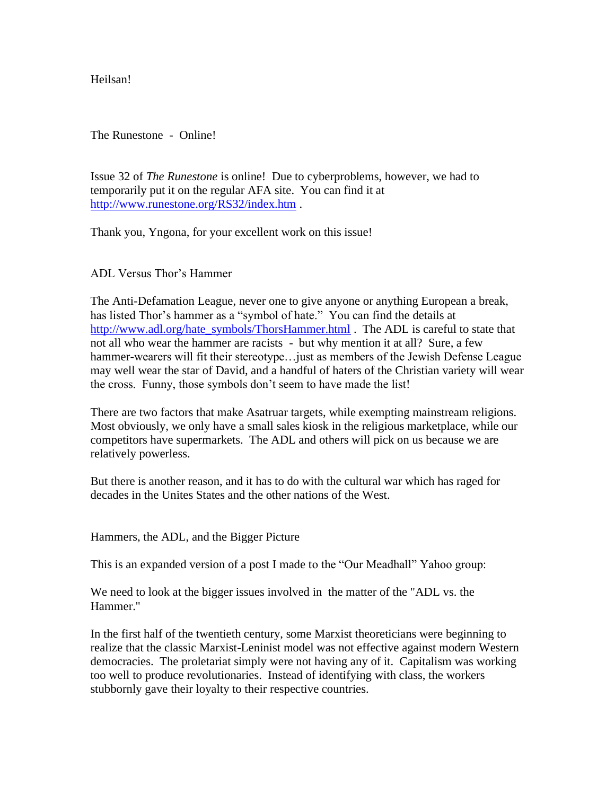Heilsan!

The Runestone - Online!

Issue 32 of *The Runestone* is online! Due to cyberproblems, however, we had to temporarily put it on the regular AFA site. You can find it at <http://www.runestone.org/RS32/index.htm> .

Thank you, Yngona, for your excellent work on this issue!

ADL Versus Thor's Hammer

The Anti-Defamation League, never one to give anyone or anything European a break, has listed Thor's hammer as a "symbol of hate." You can find the details at [http://www.adl.org/hate\\_symbols/ThorsHammer.html](http://www.adl.org/hate_symbols/ThorsHammer.html) . The ADL is careful to state that not all who wear the hammer are racists - but why mention it at all? Sure, a few hammer-wearers will fit their stereotype... just as members of the Jewish Defense League may well wear the star of David, and a handful of haters of the Christian variety will wear the cross. Funny, those symbols don't seem to have made the list!

There are two factors that make Asatruar targets, while exempting mainstream religions. Most obviously, we only have a small sales kiosk in the religious marketplace, while our competitors have supermarkets. The ADL and others will pick on us because we are relatively powerless.

But there is another reason, and it has to do with the cultural war which has raged for decades in the Unites States and the other nations of the West.

Hammers, the ADL, and the Bigger Picture

This is an expanded version of a post I made to the "Our Meadhall" Yahoo group:

We need to look at the bigger issues involved in the matter of the "ADL vs. the Hammer."

In the first half of the twentieth century, some Marxist theoreticians were beginning to realize that the classic Marxist-Leninist model was not effective against modern Western democracies. The proletariat simply were not having any of it. Capitalism was working too well to produce revolutionaries. Instead of identifying with class, the workers stubbornly gave their loyalty to their respective countries.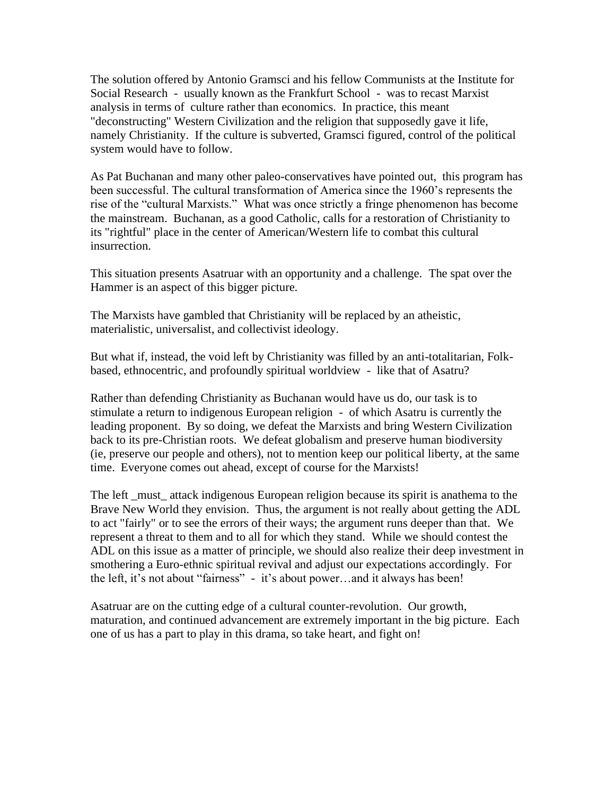The solution offered by Antonio Gramsci and his fellow Communists at the Institute for Social Research - usually known as the Frankfurt School - was to recast Marxist analysis in terms of culture rather than economics. In practice, this meant "deconstructing" Western Civilization and the religion that supposedly gave it life, namely Christianity. If the culture is subverted, Gramsci figured, control of the political system would have to follow.

As Pat Buchanan and many other paleo-conservatives have pointed out, this program has been successful. The cultural transformation of America since the 1960's represents the rise of the "cultural Marxists." What was once strictly a fringe phenomenon has become the mainstream. Buchanan, as a good Catholic, calls for a restoration of Christianity to its "rightful" place in the center of American/Western life to combat this cultural insurrection.

This situation presents Asatruar with an opportunity and a challenge. The spat over the Hammer is an aspect of this bigger picture.

The Marxists have gambled that Christianity will be replaced by an atheistic, materialistic, universalist, and collectivist ideology.

But what if, instead, the void left by Christianity was filled by an anti-totalitarian, Folkbased, ethnocentric, and profoundly spiritual worldview - like that of Asatru?

Rather than defending Christianity as Buchanan would have us do, our task is to stimulate a return to indigenous European religion - of which Asatru is currently the leading proponent. By so doing, we defeat the Marxists and bring Western Civilization back to its pre-Christian roots. We defeat globalism and preserve human biodiversity (ie, preserve our people and others), not to mention keep our political liberty, at the same time. Everyone comes out ahead, except of course for the Marxists!

The left must attack indigenous European religion because its spirit is anathema to the Brave New World they envision. Thus, the argument is not really about getting the ADL to act "fairly" or to see the errors of their ways; the argument runs deeper than that. We represent a threat to them and to all for which they stand. While we should contest the ADL on this issue as a matter of principle, we should also realize their deep investment in smothering a Euro-ethnic spiritual revival and adjust our expectations accordingly. For the left, it's not about "fairness" - it's about power…and it always has been!

Asatruar are on the cutting edge of a cultural counter-revolution. Our growth, maturation, and continued advancement are extremely important in the big picture. Each one of us has a part to play in this drama, so take heart, and fight on!